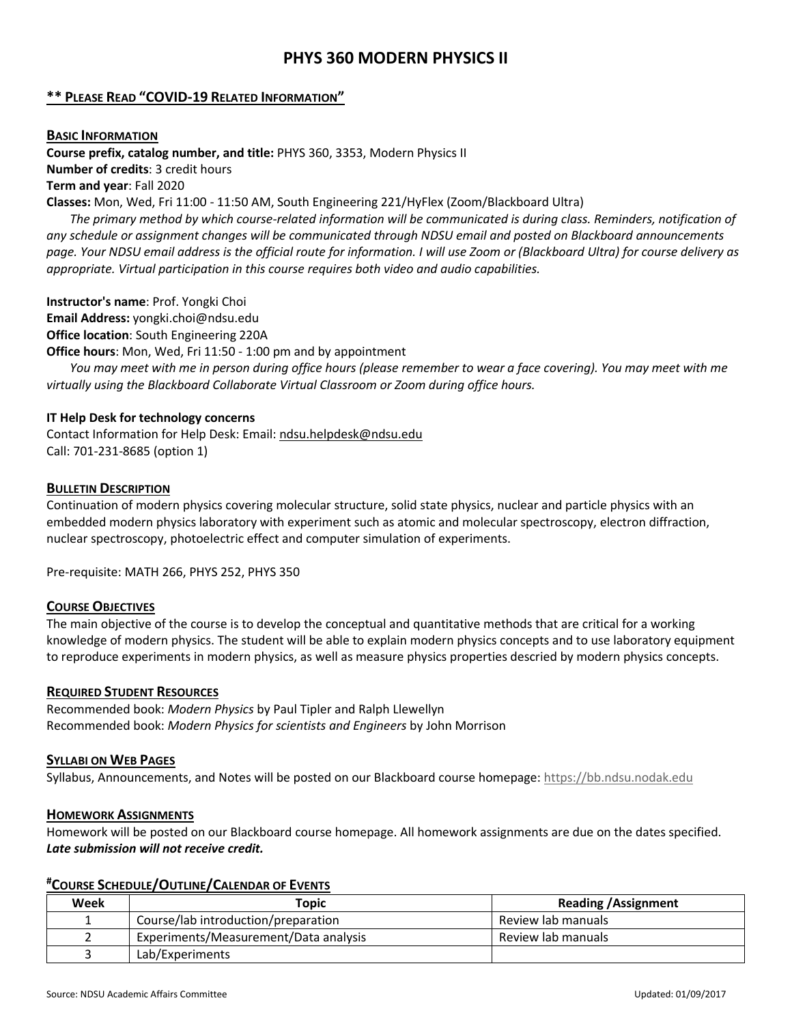# **PHYS 360 MODERN PHYSICS II**

# **\*\* PLEASE READ "COVID-19 RELATED INFORMATION"**

#### **BASIC INFORMATION**

**Course prefix, catalog number, and title:** PHYS 360, 3353, Modern Physics II **Number of credits**: 3 credit hours **Term and year**: Fall 2020

**Classes:** Mon, Wed, Fri 11:00 - 11:50 AM, South Engineering 221/HyFlex (Zoom/Blackboard Ultra)

*The primary method by which course-related information will be communicated is during class. Reminders, notification of any schedule or assignment changes will be communicated through NDSU email and posted on Blackboard announcements page. Your NDSU email address is the official route for information. I will use Zoom or (Blackboard Ultra) for course delivery as appropriate. Virtual participation in this course requires both video and audio capabilities.*

**Instructor's name**: Prof. Yongki Choi **Email Address:** yongki.choi@ndsu.edu **Office location**: South Engineering 220A

**Office hours**: Mon, Wed, Fri 11:50 - 1:00 pm and by appointment

*You may meet with me in person during office hours (please remember to wear a face covering). You may meet with me virtually using the Blackboard Collaborate Virtual Classroom or Zoom during office hours.*

# **IT Help Desk for technology concerns**

Contact Information for Help Desk: Email: [ndsu.helpdesk@ndsu.edu](mailto:ndsu.helpdesk@ndsu.edu) Call: 701-231-8685 (option 1)

# **BULLETIN DESCRIPTION**

Continuation of modern physics covering molecular structure, solid state physics, nuclear and particle physics with an embedded modern physics laboratory with experiment such as atomic and molecular spectroscopy, electron diffraction, nuclear spectroscopy, photoelectric effect and computer simulation of experiments.

Pre-requisite: MATH 266, PHYS 252, PHYS 350

# **COURSE OBJECTIVES**

The main objective of the course is to develop the conceptual and quantitative methods that are critical for a working knowledge of modern physics. The student will be able to explain modern physics concepts and to use laboratory equipment to reproduce experiments in modern physics, as well as measure physics properties descried by modern physics concepts.

# **REQUIRED STUDENT RESOURCES**

Recommended book: *Modern Physics* by Paul Tipler and Ralph Llewellyn Recommended book: *Modern Physics for scientists and Engineers* by John Morrison

# **SYLLABI ON WEB PAGES**

Syllabus, Announcements, and Notes will be posted on our Blackboard course homepage[: https://bb.ndsu.nodak.edu](https://bb.ndsu.nodak.edu/)

# **HOMEWORK ASSIGNMENTS**

Homework will be posted on our Blackboard course homepage. All homework assignments are due on the dates specified. *Late submission will not receive credit.*

# **#COURSE SCHEDULE/OUTLINE/CALENDAR OF EVENTS**

| Week | Topic                                 | <b>Reading / Assignment</b> |
|------|---------------------------------------|-----------------------------|
|      | Course/lab introduction/preparation   | Review lab manuals          |
|      | Experiments/Measurement/Data analysis | Review lab manuals          |
|      | Lab/Experiments                       |                             |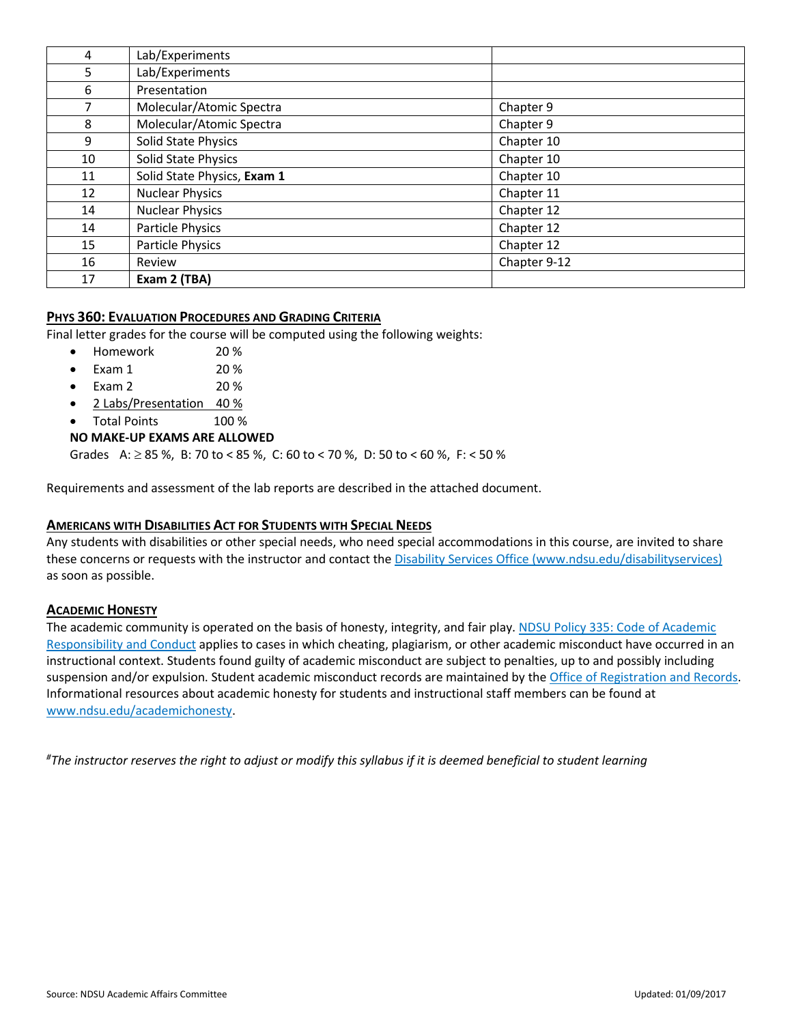| 4  | Lab/Experiments             |              |
|----|-----------------------------|--------------|
| 5  | Lab/Experiments             |              |
| 6  | Presentation                |              |
| 7  | Molecular/Atomic Spectra    | Chapter 9    |
| 8  | Molecular/Atomic Spectra    | Chapter 9    |
| 9  | Solid State Physics         | Chapter 10   |
| 10 | Solid State Physics         | Chapter 10   |
| 11 | Solid State Physics, Exam 1 | Chapter 10   |
| 12 | <b>Nuclear Physics</b>      | Chapter 11   |
| 14 | <b>Nuclear Physics</b>      | Chapter 12   |
| 14 | Particle Physics            | Chapter 12   |
| 15 | Particle Physics            | Chapter 12   |
| 16 | Review                      | Chapter 9-12 |
| 17 | Exam 2 (TBA)                |              |

# **PHYS 360: EVALUATION PROCEDURES AND GRADING CRITERIA**

Final letter grades for the course will be computed using the following weights:

- Homework 20 %
- Exam 1 20 %
- Exam 2 20 %
- 2 Labs/Presentation 40 %
- Total Points 100 %

# **NO MAKE-UP EXAMS ARE ALLOWED**

Grades A: ≥ 85 %, B: 70 to < 85 %, C: 60 to < 70 %, D: 50 to < 60 %, F: < 50 %

Requirements and assessment of the lab reports are described in the attached document.

# **AMERICANS WITH DISABILITIES ACT FOR STUDENTS WITH SPECIAL NEEDS**

Any students with disabilities or other special needs, who need special accommodations in this course, are invited to share these concerns or requests with the instructor and contact the [Disability Services Office \(www.ndsu.edu/disabilityservices\)](http://www.ndsu.edu/disabilityservices/) as soon as possible.

# **ACADEMIC HONESTY**

The academic community is operated on the basis of honesty, integrity, and fair play. [NDSU Policy 335: Code of Academic](http://www.ndsu.edu/fileadmin/policy/335.pdf)  [Responsibility and Conduct](http://www.ndsu.edu/fileadmin/policy/335.pdf) applies to cases in which cheating, plagiarism, or other academic misconduct have occurred in an instructional context. Students found guilty of academic misconduct are subject to penalties, up to and possibly including suspension and/or expulsion. Student academic misconduct records are maintained by the [Office of Registration and Records.](http://www.ndsu.edu/registrar/) Informational resources about academic honesty for students and instructional staff members can be found at [www.ndsu.edu/academichonesty.](http://www.ndsu.edu/academichonesty)

*# The instructor reserves the right to adjust or modify this syllabus if it is deemed beneficial to student learning*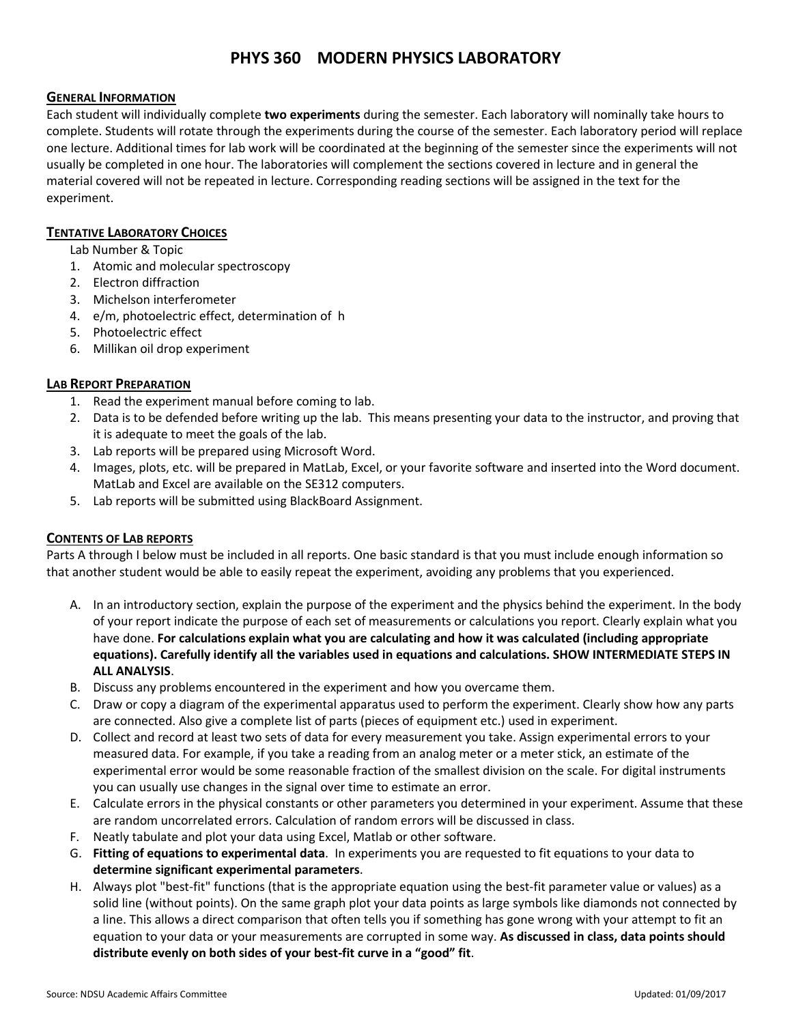# **PHYS 360 MODERN PHYSICS LABORATORY**

# **GENERAL INFORMATION**

Each student will individually complete **two experiments** during the semester. Each laboratory will nominally take hours to complete. Students will rotate through the experiments during the course of the semester. Each laboratory period will replace one lecture. Additional times for lab work will be coordinated at the beginning of the semester since the experiments will not usually be completed in one hour. The laboratories will complement the sections covered in lecture and in general the material covered will not be repeated in lecture. Corresponding reading sections will be assigned in the text for the experiment.

# **TENTATIVE LABORATORY CHOICES**

Lab Number & Topic

- 1. Atomic and molecular spectroscopy
- 2. Electron diffraction
- 3. Michelson interferometer
- 4. e/m, photoelectric effect, determination of h
- 5. Photoelectric effect
- 6. Millikan oil drop experiment

# **LAB REPORT PREPARATION**

- 1. Read the experiment manual before coming to lab.
- 2. Data is to be defended before writing up the lab. This means presenting your data to the instructor, and proving that it is adequate to meet the goals of the lab.
- 3. Lab reports will be prepared using Microsoft Word.
- 4. Images, plots, etc. will be prepared in MatLab, Excel, or your favorite software and inserted into the Word document. MatLab and Excel are available on the SE312 computers.
- 5. Lab reports will be submitted using BlackBoard Assignment.

# **CONTENTS OF LAB REPORTS**

Parts A through I below must be included in all reports. One basic standard is that you must include enough information so that another student would be able to easily repeat the experiment, avoiding any problems that you experienced.

- A. In an introductory section, explain the purpose of the experiment and the physics behind the experiment. In the body of your report indicate the purpose of each set of measurements or calculations you report. Clearly explain what you have done. **For calculations explain what you are calculating and how it was calculated (including appropriate equations). Carefully identify all the variables used in equations and calculations. SHOW INTERMEDIATE STEPS IN ALL ANALYSIS**.
- B. Discuss any problems encountered in the experiment and how you overcame them.
- C. Draw or copy a diagram of the experimental apparatus used to perform the experiment. Clearly show how any parts are connected. Also give a complete list of parts (pieces of equipment etc.) used in experiment.
- D. Collect and record at least two sets of data for every measurement you take. Assign experimental errors to your measured data. For example, if you take a reading from an analog meter or a meter stick, an estimate of the experimental error would be some reasonable fraction of the smallest division on the scale. For digital instruments you can usually use changes in the signal over time to estimate an error.
- E. Calculate errors in the physical constants or other parameters you determined in your experiment. Assume that these are random uncorrelated errors. Calculation of random errors will be discussed in class.
- F. Neatly tabulate and plot your data using Excel, Matlab or other software.
- G. **Fitting of equations to experimental data**. In experiments you are requested to fit equations to your data to **determine significant experimental parameters**.
- H. Always plot "best-fit" functions (that is the appropriate equation using the best-fit parameter value or values) as a solid line (without points). On the same graph plot your data points as large symbols like diamonds not connected by a line. This allows a direct comparison that often tells you if something has gone wrong with your attempt to fit an equation to your data or your measurements are corrupted in some way. **As discussed in class, data points should distribute evenly on both sides of your best-fit curve in a "good" fit**.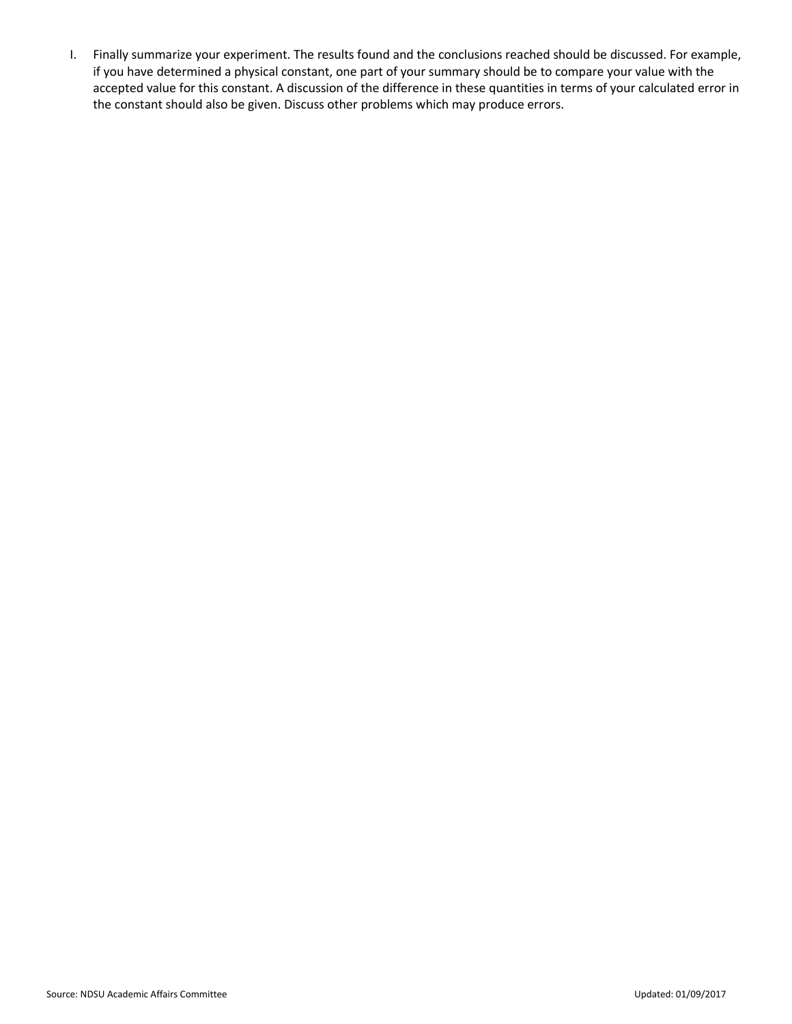I. Finally summarize your experiment. The results found and the conclusions reached should be discussed. For example, if you have determined a physical constant, one part of your summary should be to compare your value with the accepted value for this constant. A discussion of the difference in these quantities in terms of your calculated error in the constant should also be given. Discuss other problems which may produce errors.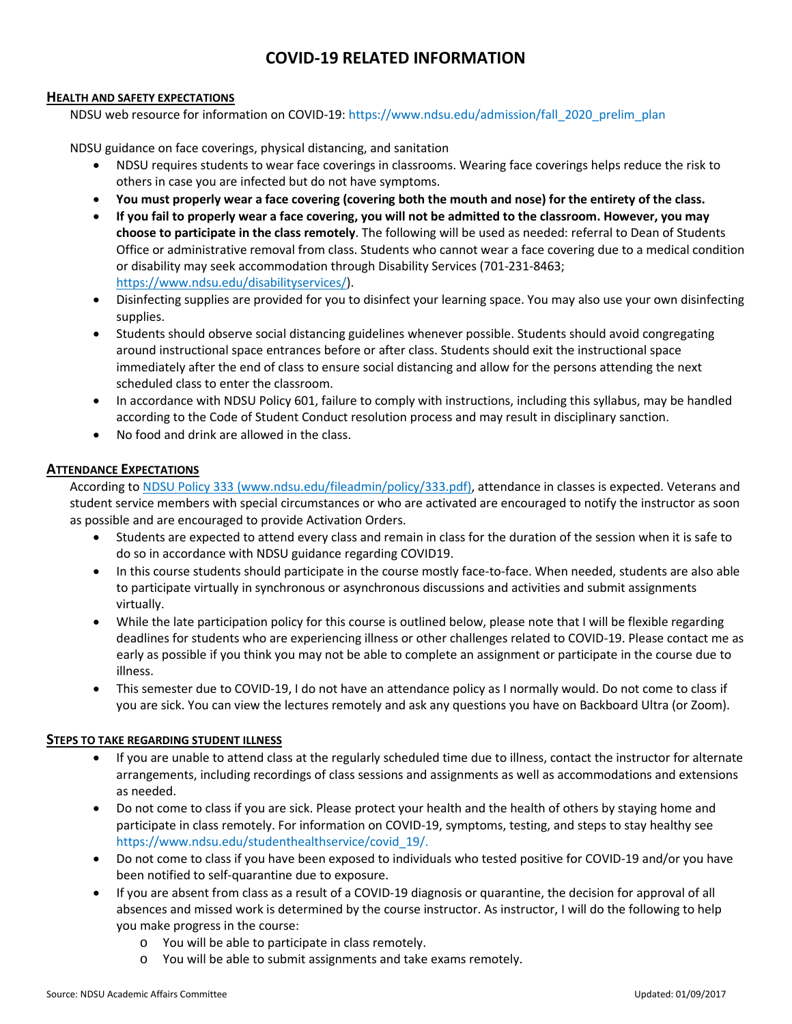# **COVID-19 RELATED INFORMATION**

#### **HEALTH AND SAFETY EXPECTATIONS**

NDSU web resource for information on COVID-19: https://www.ndsu.edu/admission/fall\_2020\_prelim\_plan

NDSU guidance on face coverings, physical distancing, and sanitation

- NDSU requires students to wear face coverings in classrooms. Wearing face coverings helps reduce the risk to others in case you are infected but do not have symptoms.
- **You must properly wear a face covering (covering both the mouth and nose) for the entirety of the class.**
- **If you fail to properly wear a face covering, you will not be admitted to the classroom. However, you may choose to participate in the class remotely**. The following will be used as needed: referral to Dean of Students Office or administrative removal from class. Students who cannot wear a face covering due to a medical condition or disability may seek accommodation through Disability Services (701-231-8463; [https://www.ndsu.edu/disabilityservices/\)](https://www.ndsu.edu/disabilityservices/).
- Disinfecting supplies are provided for you to disinfect your learning space. You may also use your own disinfecting supplies.
- Students should observe social distancing guidelines whenever possible. Students should avoid congregating around instructional space entrances before or after class. Students should exit the instructional space immediately after the end of class to ensure social distancing and allow for the persons attending the next scheduled class to enter the classroom.
- In accordance with NDSU Policy 601, failure to comply with instructions, including this syllabus, may be handled according to the Code of Student Conduct resolution process and may result in disciplinary sanction.
- No food and drink are allowed in the class.

# **ATTENDANCE EXPECTATIONS**

According t[o NDSU Policy 333 \(www.ndsu.edu/fileadmin/policy/333.pdf\),](http://www.ndsu.edu/fileadmin/policy/333.pdf) attendance in classes is expected. Veterans and student service members with special circumstances or who are activated are encouraged to notify the instructor as soon as possible and are encouraged to provide Activation Orders.

- Students are expected to attend every class and remain in class for the duration of the session when it is safe to do so in accordance with NDSU guidance regarding COVID19.
- In this course students should participate in the course mostly face-to-face. When needed, students are also able to participate virtually in synchronous or asynchronous discussions and activities and submit assignments virtually.
- While the late participation policy for this course is outlined below, please note that I will be flexible regarding deadlines for students who are experiencing illness or other challenges related to COVID-19. Please contact me as early as possible if you think you may not be able to complete an assignment or participate in the course due to illness.
- This semester due to COVID-19, I do not have an attendance policy as I normally would. Do not come to class if you are sick. You can view the lectures remotely and ask any questions you have on Backboard Ultra (or Zoom).

# **STEPS TO TAKE REGARDING STUDENT ILLNESS**

- If you are unable to attend class at the regularly scheduled time due to illness, contact the instructor for alternate arrangements, including recordings of class sessions and assignments as well as accommodations and extensions as needed.
- Do not come to class if you are sick. Please protect your health and the health of others by staying home and participate in class remotely. For information on COVID-19, symptoms, testing, and steps to stay healthy see https://www.ndsu.edu/studenthealthservice/covid\_19/.
- Do not come to class if you have been exposed to individuals who tested positive for COVID-19 and/or you have been notified to self-quarantine due to exposure.
- If you are absent from class as a result of a COVID-19 diagnosis or quarantine, the decision for approval of all absences and missed work is determined by the course instructor. As instructor, I will do the following to help you make progress in the course:
	- o You will be able to participate in class remotely.
	- o You will be able to submit assignments and take exams remotely.